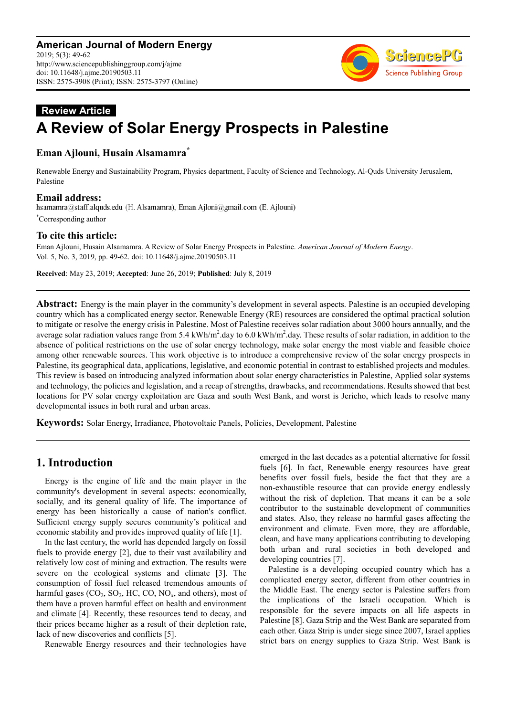

# **Review Article A Review of Solar Energy Prospects in Palestine**

## **Eman Ajlouni, Husain Alsamamra\***

Renewable Energy and Sustainability Program, Physics department, Faculty of Science and Technology, Al-Quds University Jerusalem, Palestine

**Email address:**<br>hsamamra@staff.alquds.edu (H. Alsamamra), Eman.Ajloni@gmail.com (E. Ajlouni)

\*Corresponding author

### **To cite this article:**

Eman Ajlouni, Husain Alsamamra. A Review of Solar Energy Prospects in Palestine. *American Journal of Modern Energy*. Vol. 5, No. 3, 2019, pp. 49-62. doi: 10.11648/j.ajme.20190503.11

**Received**: May 23, 2019; **Accepted**: June 26, 2019; **Published**: July 8, 2019

**Abstract:** Energy is the main player in the community's development in several aspects. Palestine is an occupied developing country which has a complicated energy sector. Renewable Energy (RE) resources are considered the optimal practical solution to mitigate or resolve the energy crisis in Palestine. Most of Palestine receives solar radiation about 3000 hours annually, and the average solar radiation values range from 5.4 kWh/m<sup>2</sup>.day to 6.0 kWh/m<sup>2</sup>.day. These results of solar radiation, in addition to the absence of political restrictions on the use of solar energy technology, make solar energy the most viable and feasible choice among other renewable sources. This work objective is to introduce a comprehensive review of the solar energy prospects in Palestine, its geographical data, applications, legislative, and economic potential in contrast to established projects and modules. This review is based on introducing analyzed information about solar energy characteristics in Palestine, Applied solar systems and technology, the policies and legislation, and a recap of strengths, drawbacks, and recommendations. Results showed that best locations for PV solar energy exploitation are Gaza and south West Bank, and worst is Jericho, which leads to resolve many developmental issues in both rural and urban areas.

**Keywords:** Solar Energy, Irradiance, Photovoltaic Panels, Policies, Development, Palestine

## **1. Introduction**

Energy is the engine of life and the main player in the community's development in several aspects: economically, socially, and its general quality of life. The importance of energy has been historically a cause of nation's conflict. Sufficient energy supply secures community's political and economic stability and provides improved quality of life [1].

In the last century, the world has depended largely on fossil fuels to provide energy [2], due to their vast availability and relatively low cost of mining and extraction. The results were severe on the ecological systems and climate [3]. The consumption of fossil fuel released tremendous amounts of harmful gases  $(CO_2, SO_2, HC, CO, NO_x, and others)$ , most of them have a proven harmful effect on health and environment and climate [4]. Recently, these resources tend to decay, and their prices became higher as a result of their depletion rate, lack of new discoveries and conflicts [5].

Renewable Energy resources and their technologies have

emerged in the last decades as a potential alternative for fossil fuels [6]. In fact, Renewable energy resources have great benefits over fossil fuels, beside the fact that they are a non-exhaustible resource that can provide energy endlessly without the risk of depletion. That means it can be a sole contributor to the sustainable development of communities and states. Also, they release no harmful gases affecting the environment and climate. Even more, they are affordable, clean, and have many applications contributing to developing both urban and rural societies in both developed and developing countries [7].

Palestine is a developing occupied country which has a complicated energy sector, different from other countries in the Middle East. The energy sector is Palestine suffers from the implications of the Israeli occupation. Which is responsible for the severe impacts on all life aspects in Palestine [8]. Gaza Strip and the West Bank are separated from each other. Gaza Strip is under siege since 2007, Israel applies strict bars on energy supplies to Gaza Strip. West Bank is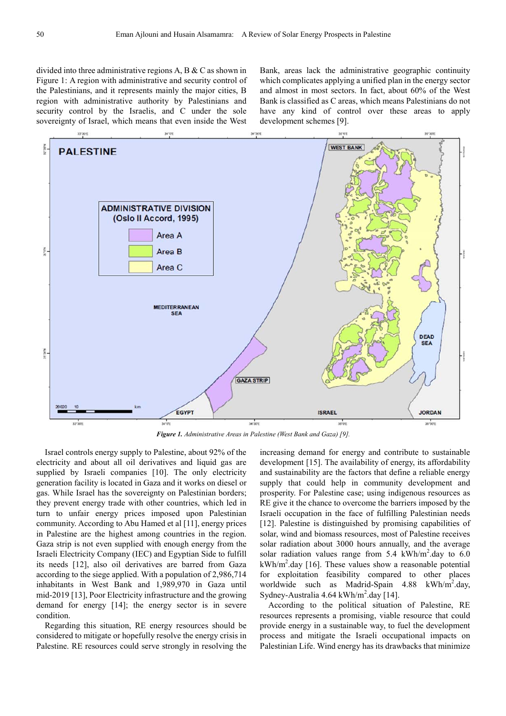divided into three administrative regions A, B & C as shown in Figure 1: A region with administrative and security control of the Palestinians, and it represents mainly the major cities, B region with administrative authority by Palestinians and security control by the Israelis, and C under the sole sovereignty of Israel, which means that even inside the West

Bank, areas lack the administrative geographic continuity which complicates applying a unified plan in the energy sector and almost in most sectors. In fact, about 60% of the West Bank is classified as C areas, which means Palestinians do not have any kind of control over these areas to apply development schemes [9].



*Figure 1. Administrative Areas in Palestine (West Bank and Gaza) [9].* 

Israel controls energy supply to Palestine, about 92% of the electricity and about all oil derivatives and liquid gas are supplied by Israeli companies [10]. The only electricity generation facility is located in Gaza and it works on diesel or gas. While Israel has the sovereignty on Palestinian borders; they prevent energy trade with other countries, which led in turn to unfair energy prices imposed upon Palestinian community. According to Abu Hamed et al [11], energy prices in Palestine are the highest among countries in the region. Gaza strip is not even supplied with enough energy from the Israeli Electricity Company (IEC) and Egyptian Side to fulfill its needs [12], also oil derivatives are barred from Gaza according to the siege applied. With a population of 2,986,714 inhabitants in West Bank and 1,989,970 in Gaza until mid-2019 [13], Poor Electricity infrastructure and the growing demand for energy [14]; the energy sector is in severe condition.

Regarding this situation, RE energy resources should be considered to mitigate or hopefully resolve the energy crisis in Palestine. RE resources could serve strongly in resolving the increasing demand for energy and contribute to sustainable development [15]. The availability of energy, its affordability and sustainability are the factors that define a reliable energy supply that could help in community development and prosperity. For Palestine case; using indigenous resources as RE give it the chance to overcome the barriers imposed by the Israeli occupation in the face of fulfilling Palestinian needs [12]. Palestine is distinguished by promising capabilities of solar, wind and biomass resources, most of Palestine receives solar radiation about 3000 hours annually, and the average solar radiation values range from  $5.4 \text{ kWh/m}^2$ .day to  $6.0 \text{ m}$  $kWh/m<sup>2</sup>$ .day [16]. These values show a reasonable potential for exploitation feasibility compared to other places worldwide such as Madrid-Spain 4.88 kWh/m<sup>2</sup>.day, Sydney-Australia  $4.64 \text{ kWh/m}^2$ .day [14].

According to the political situation of Palestine, RE resources represents a promising, viable resource that could provide energy in a sustainable way, to fuel the development process and mitigate the Israeli occupational impacts on Palestinian Life. Wind energy has its drawbacks that minimize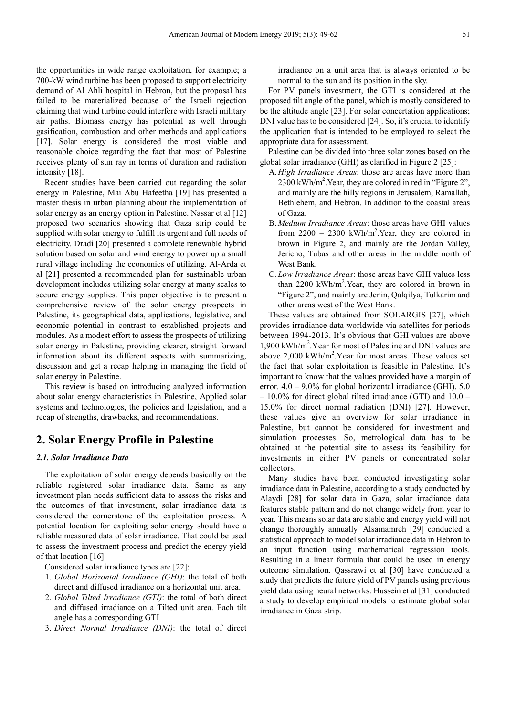the opportunities in wide range exploitation, for example; a 700-kW wind turbine has been proposed to support electricity demand of Al Ahli hospital in Hebron, but the proposal has failed to be materialized because of the Israeli rejection claiming that wind turbine could interfere with Israeli military air paths. Biomass energy has potential as well through gasification, combustion and other methods and applications [17]. Solar energy is considered the most viable and reasonable choice regarding the fact that most of Palestine receives plenty of sun ray in terms of duration and radiation intensity [18].

Recent studies have been carried out regarding the solar energy in Palestine, Mai Abu Hafeetha [19] has presented a master thesis in urban planning about the implementation of solar energy as an energy option in Palestine. Nassar et al [12] proposed two scenarios showing that Gaza strip could be supplied with solar energy to fulfill its urgent and full needs of electricity. Dradi [20] presented a complete renewable hybrid solution based on solar and wind energy to power up a small rural village including the economics of utilizing. Al-Arda et al [21] presented a recommended plan for sustainable urban development includes utilizing solar energy at many scales to secure energy supplies. This paper objective is to present a comprehensive review of the solar energy prospects in Palestine, its geographical data, applications, legislative, and economic potential in contrast to established projects and modules. As a modest effort to assess the prospects of utilizing solar energy in Palestine, providing clearer, straight forward information about its different aspects with summarizing, discussion and get a recap helping in managing the field of solar energy in Palestine.

This review is based on introducing analyzed information about solar energy characteristics in Palestine, Applied solar systems and technologies, the policies and legislation, and a recap of strengths, drawbacks, and recommendations.

## **2. Solar Energy Profile in Palestine**

#### *2.1. Solar Irradiance Data*

The exploitation of solar energy depends basically on the reliable registered solar irradiance data. Same as any investment plan needs sufficient data to assess the risks and the outcomes of that investment, solar irradiance data is considered the cornerstone of the exploitation process. A potential location for exploiting solar energy should have a reliable measured data of solar irradiance. That could be used to assess the investment process and predict the energy yield of that location [16].

Considered solar irradiance types are [22]:

- 1. *Global Horizontal Irradiance (GHI)*: the total of both direct and diffused irradiance on a horizontal unit area.
- 2. *Global Tilted Irradiance (GTI)*: the total of both direct and diffused irradiance on a Tilted unit area. Each tilt angle has a corresponding GTI
- 3. *Direct Normal Irradiance (DNI)*: the total of direct

irradiance on a unit area that is always oriented to be normal to the sun and its position in the sky.

For PV panels investment, the GTI is considered at the proposed tilt angle of the panel, which is mostly considered to be the altitude angle [23]. For solar concertation applications; DNI value has to be considered [24]. So, it's crucial to identify the application that is intended to be employed to select the appropriate data for assessment.

Palestine can be divided into three solar zones based on the global solar irradiance (GHI) as clarified in Figure 2 [25]:

- A.*High Irradiance Areas*: those are areas have more than 2300 kWh/m<sup>2</sup>. Year, they are colored in red in "Figure 2", and mainly are the hilly regions in Jerusalem, Ramallah, Bethlehem, and Hebron. In addition to the coastal areas of Gaza.
- B. *Medium Irradiance Areas*: those areas have GHI values from  $2200 - 2300$  kWh/m<sup>2</sup>. Year, they are colored in brown in Figure 2, and mainly are the Jordan Valley, Jericho, Tubas and other areas in the middle north of West Bank.
- C. *Low Irradiance Areas*: those areas have GHI values less than  $2200 \text{ kWh/m}^2$ . Year, they are colored in brown in "Figure 2", and mainly are Jenin, Qalqilya, Tulkarim and other areas west of the West Bank.

These values are obtained from SOLARGIS [27], which provides irradiance data worldwide via satellites for periods between 1994-2013. It's obvious that GHI values are above 1,900 kWh/m<sup>2</sup> .Year for most of Palestine and DNI values are above  $2,000$  kWh/m<sup>2</sup>. Year for most areas. These values set the fact that solar exploitation is feasible in Palestine. It's important to know that the values provided have a margin of error.  $4.0 - 9.0\%$  for global horizontal irradiance (GHI),  $5.0$ – 10.0% for direct global tilted irradiance (GTI) and 10.0 – 15.0% for direct normal radiation (DNI) [27]. However, these values give an overview for solar irradiance in Palestine, but cannot be considered for investment and simulation processes. So, metrological data has to be obtained at the potential site to assess its feasibility for investments in either PV panels or concentrated solar collectors.

Many studies have been conducted investigating solar irradiance data in Palestine, according to a study conducted by Alaydi [28] for solar data in Gaza, solar irradiance data features stable pattern and do not change widely from year to year. This means solar data are stable and energy yield will not change thoroughly annually. Alsamamreh [29] conducted a statistical approach to model solar irradiance data in Hebron to an input function using mathematical regression tools. Resulting in a linear formula that could be used in energy outcome simulation. Qassrawi et al [30] have conducted a study that predicts the future yield of PV panels using previous yield data using neural networks. Hussein et al [31] conducted a study to develop empirical models to estimate global solar irradiance in Gaza strip.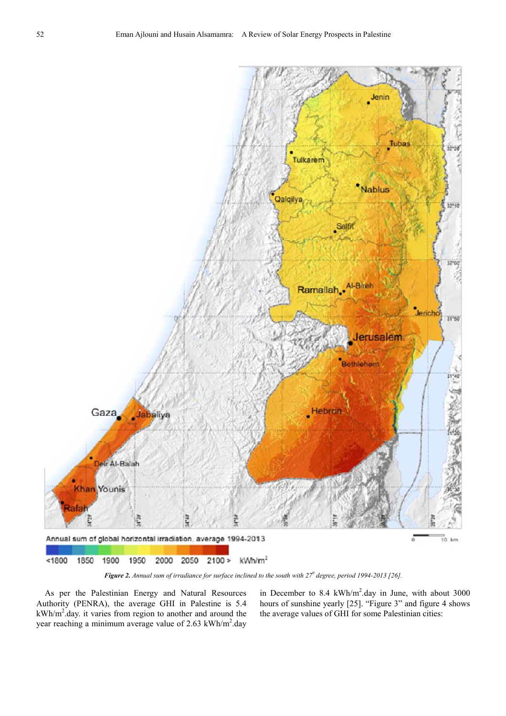

*Figure 2. Annual sum of irradiance for surface inclined to the south with 27<sup>0</sup> degree, period 1994-2013 [26].* 

As per the Palestinian Energy and Natural Resources Authority (PENRA), the average GHI in Palestine is 5.4  $kWh/m<sup>2</sup>$  day. it varies from region to another and around the year reaching a minimum average value of 2.63 kWh/m<sup>2</sup>.day

in December to 8.4 kWh/m<sup>2</sup>.day in June, with about 3000 hours of sunshine yearly [25]. "Figure 3" and figure 4 shows the average values of GHI for some Palestinian cities: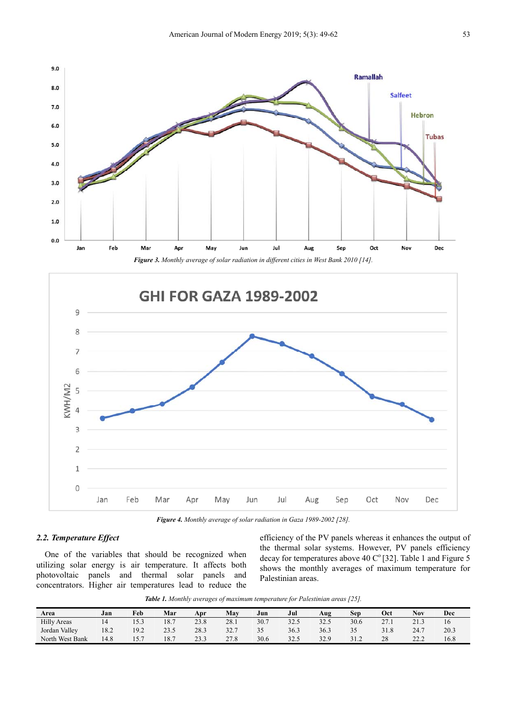



*Figure 4. Monthly average of solar radiation in Gaza 1989-2002 [28].*

## *2.2. Temperature Effect*

One of the variables that should be recognized when utilizing solar energy is air temperature. It affects both photovoltaic panels and thermal solar panels and concentrators. Higher air temperatures lead to reduce the efficiency of the PV panels whereas it enhances the output of the thermal solar systems. However, PV panels efficiency decay for temperatures above 40  $C^{\circ}$  [32]. Table 1 and Figure 5 shows the monthly averages of maximum temperature for Palestinian areas.

*Table 1. Monthly averages of maximum temperature for Palestinian areas [25].* 

| Area               | Jan  | Feb                | Mar  | Apr          | May  | Jun  | Jul  | Aug  | Sep  | Oct        | Nov         | Dec  |
|--------------------|------|--------------------|------|--------------|------|------|------|------|------|------------|-------------|------|
| <b>Hilly Areas</b> |      | 15.3               | 18.7 | 23.8         | 28.1 | 30.7 | 32.5 | 32.5 | 30.6 | 27<br>21.1 | 21.3        |      |
| Jordan Valley      | 18.2 | 19.2               | 23.5 | 28.3         | 32.7 | 35   | 36.3 | 36.3 | 35   | 31.8       | 24.7        | 20.3 |
| North West Bank    | .4.8 | $ -$<br>$1 \cup 1$ | 18.7 | าว ว<br>25.J | 27.8 | 30.6 | 32.5 | 32.9 | 31.2 | 28         | 222<br>22.L | 16.8 |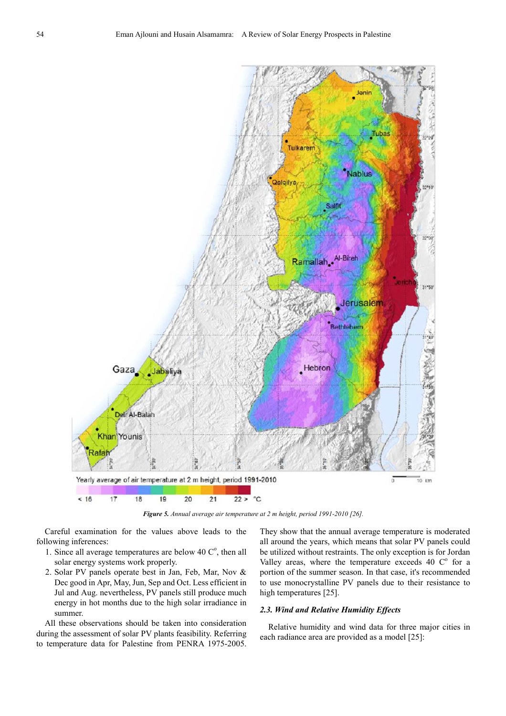

*Figure 5. Annual average air temperature at 2 m height, period 1991-2010 [26].* 

Careful examination for the values above leads to the following inferences:

- 1. Since all average temperatures are below 40  $C^{\circ}$ , then all solar energy systems work properly.
- 2. Solar PV panels operate best in Jan, Feb, Mar, Nov & Dec good in Apr, May, Jun, Sep and Oct. Less efficient in Jul and Aug. nevertheless, PV panels still produce much energy in hot months due to the high solar irradiance in summer.

All these observations should be taken into consideration during the assessment of solar PV plants feasibility. Referring to temperature data for Palestine from PENRA 1975-2005.

They show that the annual average temperature is moderated all around the years, which means that solar PV panels could be utilized without restraints. The only exception is for Jordan Valley areas, where the temperature exceeds  $40\degree C^{\circ}$  for a portion of the summer season. In that case, it's recommended to use monocrystalline PV panels due to their resistance to high temperatures [25].

#### *2.3. Wind and Relative Humidity Effects*

Relative humidity and wind data for three major cities in each radiance area are provided as a model [25]: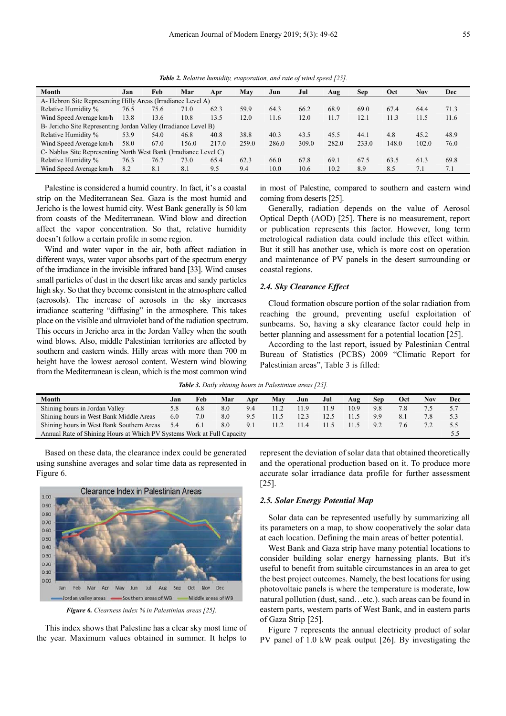*Table 2. Relative humidity, evaporation, and rate of wind speed [25].* 

| Month                                                            | Jan  | Feb  | Mar   | Apr   | May   | Jun   | Jul   | Aug   | Sep   | <b>Oct</b> | Nov   | Dec  |
|------------------------------------------------------------------|------|------|-------|-------|-------|-------|-------|-------|-------|------------|-------|------|
| A-Hebron Site Representing Hilly Areas (Irradiance Level A)      |      |      |       |       |       |       |       |       |       |            |       |      |
| Relative Humidity %                                              | 76.5 | 75.6 | 71.0  | 62.3  | 59.9  | 64.3  | 66.2  | 68.9  | 69.0  | 67.4       | 64.4  | 71.3 |
| Wind Speed Average km/h                                          | 13.8 | 13.6 | 10.8  | 13.5  | 12.0  | 11.6  | 12.0  | 11.7  | 12.1  | 11.3       | 11.5  | 11.6 |
| B- Jericho Site Representing Jordan Valley (Irradiance Level B)  |      |      |       |       |       |       |       |       |       |            |       |      |
| Relative Humidity %                                              | 53.9 | 54.0 | 46.8  | 40.8  | 38.8  | 40.3  | 43.5  | 45.5  | 44.1  | 4.8        | 45.2  | 48.9 |
| Wind Speed Average km/h                                          | 58.0 | 67.0 | 156.0 | 217.0 | 259.0 | 286.0 | 309.0 | 282.0 | 233.0 | 148.0      | 102.0 | 76.0 |
| C- Nablus Site Representing North West Bank (Irradiance Level C) |      |      |       |       |       |       |       |       |       |            |       |      |
| Relative Humidity %                                              | 76.3 | 76.7 | 73.0  | 65.4  | 62.3  | 66.0  | 67.8  | 69.1  | 67.5  | 63.5       | 61.3  | 69.8 |
| Wind Speed Average km/h                                          | 8.2  | 8.1  | 8.1   | 9.5   | 9.4   | 10.0  | 10.6  | 10.2  | 8.9   | 8.5        | 7.1   | 7.1  |

Palestine is considered a humid country. In fact, it's a coastal strip on the Mediterranean Sea. Gaza is the most humid and Jericho is the lowest humid city. West Bank generally is 50 km from coasts of the Mediterranean. Wind blow and direction affect the vapor concentration. So that, relative humidity doesn't follow a certain profile in some region.

Wind and water vapor in the air, both affect radiation in different ways, water vapor absorbs part of the spectrum energy of the irradiance in the invisible infrared band [33]. Wind causes small particles of dust in the desert like areas and sandy particles high sky. So that they become consistent in the atmosphere called (aerosols). The increase of aerosols in the sky increases irradiance scattering "diffusing" in the atmosphere. This takes place on the visible and ultraviolet band of the radiation spectrum. This occurs in Jericho area in the Jordan Valley when the south wind blows. Also, middle Palestinian territories are affected by southern and eastern winds. Hilly areas with more than 700 m height have the lowest aerosol content. Western wind blowing from the Mediterranean is clean, which is the most common wind in most of Palestine, compared to southern and eastern wind coming from deserts [25].

Generally, radiation depends on the value of Aerosol Optical Depth (AOD) [25]. There is no measurement, report or publication represents this factor. However, long term metrological radiation data could include this effect within. But it still has another use, which is more cost on operation and maintenance of PV panels in the desert surrounding or coastal regions.

### *2.4. Sky Clearance Effect*

Cloud formation obscure portion of the solar radiation from reaching the ground, preventing useful exploitation of sunbeams. So, having a sky clearance factor could help in better planning and assessment for a potential location [25].

According to the last report, issued by Palestinian Central Bureau of Statistics (PCBS) 2009 "Climatic Report for Palestinian areas", Table 3 is filled:

*Table 3. Daily shining hours in Palestinian areas [25].* 

| Month                                                                  | .ıan | Feb | Mar | Apr | Mav  | Jun  | Jul  | Aug  | Sen            | Oct | Nov | Dec |
|------------------------------------------------------------------------|------|-----|-----|-----|------|------|------|------|----------------|-----|-----|-----|
| Shining hours in Jordan Valley                                         | 5.8  | 6.8 | 8.0 | 9.4 | 11.2 | 11.9 | 11.9 | 10.9 | 9.8            |     |     |     |
| Shining hours in West Bank Middle Areas                                | 6.0  | 7.0 | 8.0 | 9.5 |      | 12.3 | 12.5 |      | 99             |     |     |     |
| Shining hours in West Bank Southern Areas                              | 5.4  | 6.1 | 8.0 | 9.1 | 11.2 | 11.4 | 11.5 |      | Q <sub>0</sub> | 76  |     |     |
| Annual Rate of Shining Hours at Which PV Systems Work at Full Capacity |      |     |     |     |      |      |      |      |                |     |     |     |

Based on these data, the clearance index could be generated using sunshine averages and solar time data as represented in Figure 6.



*Figure 6. Clearness index % in Palestinian areas [25].* 

This index shows that Palestine has a clear sky most time of the year. Maximum values obtained in summer. It helps to

represent the deviation of solar data that obtained theoretically and the operational production based on it. To produce more accurate solar irradiance data profile for further assessment [25].

#### *2.5. Solar Energy Potential Map*

Solar data can be represented usefully by summarizing all its parameters on a map, to show cooperatively the solar data at each location. Defining the main areas of better potential.

West Bank and Gaza strip have many potential locations to consider building solar energy harnessing plants. But it's useful to benefit from suitable circumstances in an area to get the best project outcomes. Namely, the best locations for using photovoltaic panels is where the temperature is moderate, low natural pollution (dust, sand…etc.). such areas can be found in eastern parts, western parts of West Bank, and in eastern parts of Gaza Strip [25].

Figure 7 represents the annual electricity product of solar PV panel of 1.0 kW peak output [26]. By investigating the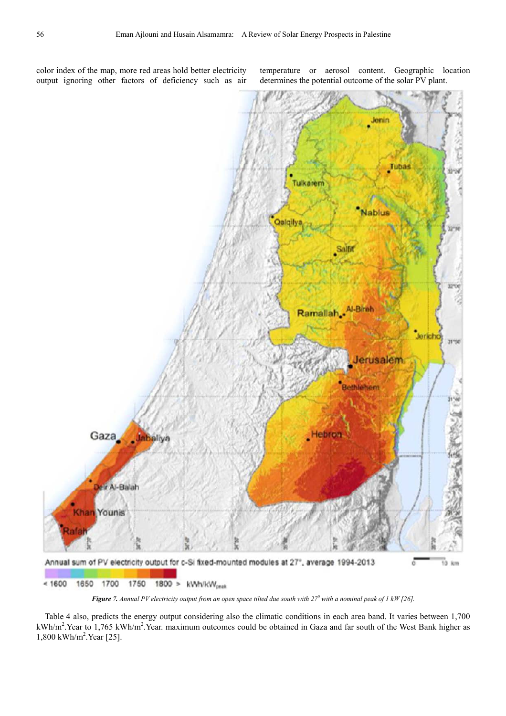color index of the map, more red areas hold better electricity output ignoring other factors of deficiency such as air temperature or aerosol content. Geographic location determines the potential outcome of the solar PV plant.



*Figure 7. Annual PV electricity output from an open space tilted due south with*  $27^0$  *with a nominal peak of 1 kW [26].* 

Table 4 also, predicts the energy output considering also the climatic conditions in each area band. It varies between 1,700 kWh/m<sup>2</sup>. Year to 1,765 kWh/m<sup>2</sup>. Year. maximum outcomes could be obtained in Gaza and far south of the West Bank higher as 1,800 kWh/m<sup>2</sup> .Year [25].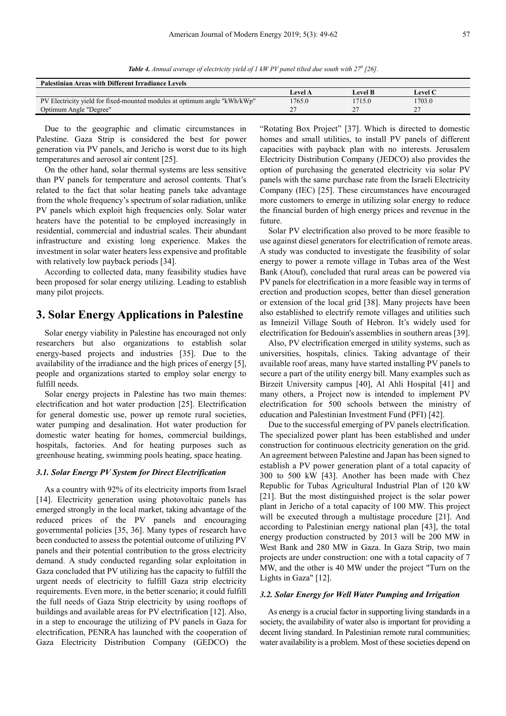*Table 4. Annual average of electricity yield of 1 kW PV panel tilted due south with 27<sup>0</sup> [26].* 

| <b>Palestinian Areas with Different Irradiance Levels</b>                 |         |         |                |  |  |  |  |  |  |  |
|---------------------------------------------------------------------------|---------|---------|----------------|--|--|--|--|--|--|--|
|                                                                           | Level A | Level B | <b>Level C</b> |  |  |  |  |  |  |  |
| PV Electricity yield for fixed-mounted modules at optimum angle "kWh/kWp" | 1765.0  | 1715.0  | 1703.0         |  |  |  |  |  |  |  |
| Optimum Angle "Degree"                                                    |         |         | -              |  |  |  |  |  |  |  |

Due to the geographic and climatic circumstances in Palestine. Gaza Strip is considered the best for power generation via PV panels, and Jericho is worst due to its high temperatures and aerosol air content [25].

On the other hand, solar thermal systems are less sensitive than PV panels for temperature and aerosol contents. That's related to the fact that solar heating panels take advantage from the whole frequency's spectrum of solar radiation, unlike PV panels which exploit high frequencies only. Solar water heaters have the potential to be employed increasingly in residential, commercial and industrial scales. Their abundant infrastructure and existing long experience. Makes the investment in solar water heaters less expensive and profitable with relatively low payback periods [34].

According to collected data, many feasibility studies have been proposed for solar energy utilizing. Leading to establish many pilot projects.

## **3. Solar Energy Applications in Palestine**

Solar energy viability in Palestine has encouraged not only researchers but also organizations to establish solar energy-based projects and industries [35]. Due to the availability of the irradiance and the high prices of energy [5], people and organizations started to employ solar energy to fulfill needs.

Solar energy projects in Palestine has two main themes: electrification and hot water production [25]. Electrification for general domestic use, power up remote rural societies, water pumping and desalination. Hot water production for domestic water heating for homes, commercial buildings, hospitals, factories. And for heating purposes such as greenhouse heating, swimming pools heating, space heating.

#### *3.1. Solar Energy PV System for Direct Electrification*

As a country with 92% of its electricity imports from Israel [14]. Electricity generation using photovoltaic panels has emerged strongly in the local market, taking advantage of the reduced prices of the PV panels and encouraging governmental policies [35, 36]. Many types of research have been conducted to assess the potential outcome of utilizing PV panels and their potential contribution to the gross electricity demand. A study conducted regarding solar exploitation in Gaza concluded that PV utilizing has the capacity to fulfill the urgent needs of electricity to fulfill Gaza strip electricity requirements. Even more, in the better scenario; it could fulfill the full needs of Gaza Strip electricity by using rooftops of buildings and available areas for PV electrification [12]. Also, in a step to encourage the utilizing of PV panels in Gaza for electrification, PENRA has launched with the cooperation of Gaza Electricity Distribution Company (GEDCO) the "Rotating Box Project" [37]. Which is directed to domestic homes and small utilities, to install PV panels of different capacities with payback plan with no interests. Jerusalem Electricity Distribution Company (JEDCO) also provides the option of purchasing the generated electricity via solar PV panels with the same purchase rate from the Israeli Electricity Company (IEC) [25]. These circumstances have encouraged more customers to emerge in utilizing solar energy to reduce the financial burden of high energy prices and revenue in the future.

Solar PV electrification also proved to be more feasible to use against diesel generators for electrification of remote areas. A study was conducted to investigate the feasibility of solar energy to power a remote village in Tubas area of the West Bank (Atouf), concluded that rural areas can be powered via PV panels for electrification in a more feasible way in terms of erection and production scopes, better than diesel generation or extension of the local grid [38]. Many projects have been also established to electrify remote villages and utilities such as Imneizil Village South of Hebron. It's widely used for electrification for Bedouin's assemblies in southern areas [39].

Also, PV electrification emerged in utility systems, such as universities, hospitals, clinics. Taking advantage of their available roof areas, many have started installing PV panels to secure a part of the utility energy bill. Many examples such as Birzeit University campus [40], Al Ahli Hospital [41] and many others, a Project now is intended to implement PV electrification for 500 schools between the ministry of education and Palestinian Investment Fund (PFI) [42].

Due to the successful emerging of PV panels electrification. The specialized power plant has been established and under construction for continuous electricity generation on the grid. An agreement between Palestine and Japan has been signed to establish a PV power generation plant of a total capacity of 300 to 500 kW [43]. Another has been made with Chez Republic for Tubas Agricultural Industrial Plan of 120 kW [21]. But the most distinguished project is the solar power plant in Jericho of a total capacity of 100 MW. This project will be executed through a multistage procedure [21]. And according to Palestinian energy national plan [43], the total energy production constructed by 2013 will be 200 MW in West Bank and 280 MW in Gaza. In Gaza Strip, two main projects are under construction: one with a total capacity of 7 MW, and the other is 40 MW under the project "Turn on the Lights in Gaza" [12].

#### *3.2. Solar Energy for Well Water Pumping and Irrigation*

As energy is a crucial factor in supporting living standards in a society, the availability of water also is important for providing a decent living standard. In Palestinian remote rural communities; water availability is a problem. Most of these societies depend on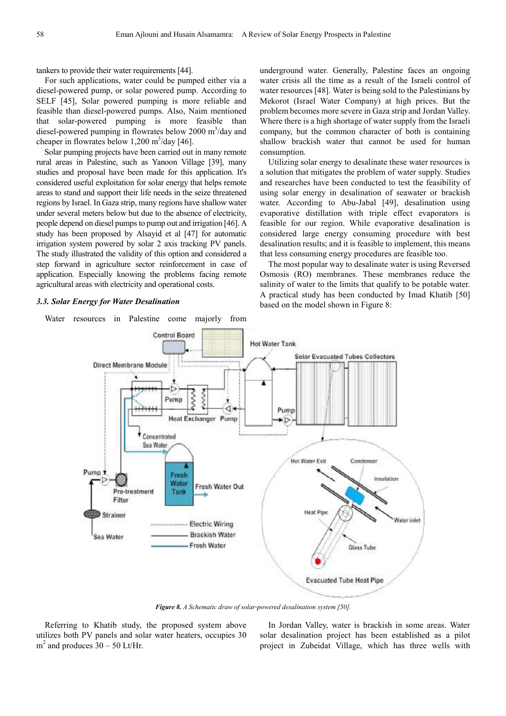tankers to provide their water requirements [44].

For such applications, water could be pumped either via a diesel-powered pump, or solar powered pump. According to SELF [45], Solar powered pumping is more reliable and feasible than diesel-powered pumps. Also, Naim mentioned that solar-powered pumping is more feasible than diesel-powered pumping in flowrates below 2000 m<sup>3</sup>/day and cheaper in flowrates below  $1,200 \text{ m}^3/\text{day}$  [46].

Solar pumping projects have been carried out in many remote rural areas in Palestine, such as Yanoon Village [39], many studies and proposal have been made for this application. It's considered useful exploitation for solar energy that helps remote areas to stand and support their life needs in the seize threatened regions by Israel. In Gaza strip, many regions have shallow water under several meters below but due to the absence of electricity, people depend on diesel pumps to pump out and irrigation [46]. A study has been proposed by Alsayid et al [47] for automatic irrigation system powered by solar 2 axis tracking PV panels. The study illustrated the validity of this option and considered a step forward in agriculture sector reinforcement in case of application. Especially knowing the problems facing remote agricultural areas with electricity and operational costs.

#### *3.3. Solar Energy for Water Desalination*

Water resources in Palestine come majorly from

underground water. Generally, Palestine faces an ongoing water crisis all the time as a result of the Israeli control of water resources [48]. Water is being sold to the Palestinians by Mekorot (Israel Water Company) at high prices. But the problem becomes more severe in Gaza strip and Jordan Valley. Where there is a high shortage of water supply from the Israeli company, but the common character of both is containing shallow brackish water that cannot be used for human consumption.

Utilizing solar energy to desalinate these water resources is a solution that mitigates the problem of water supply. Studies and researches have been conducted to test the feasibility of using solar energy in desalination of seawater or brackish water. According to Abu-Jabal [49], desalination using evaporative distillation with triple effect evaporators is feasible for our region. While evaporative desalination is considered large energy consuming procedure with best desalination results; and it is feasible to implement, this means that less consuming energy procedures are feasible too.

The most popular way to desalinate water is using Reversed Osmosis (RO) membranes. These membranes reduce the salinity of water to the limits that qualify to be potable water. A practical study has been conducted by Imad Khatib [50] based on the model shown in Figure 8:



*Figure 8. A Schematic draw of solar-powered desalination system [50].* 

Referring to Khatib study, the proposed system above utilizes both PV panels and solar water heaters, occupies 30  $m<sup>2</sup>$  and produces 30 – 50 Lt/Hr.

In Jordan Valley, water is brackish in some areas. Water solar desalination project has been established as a pilot project in Zubeidat Village, which has three wells with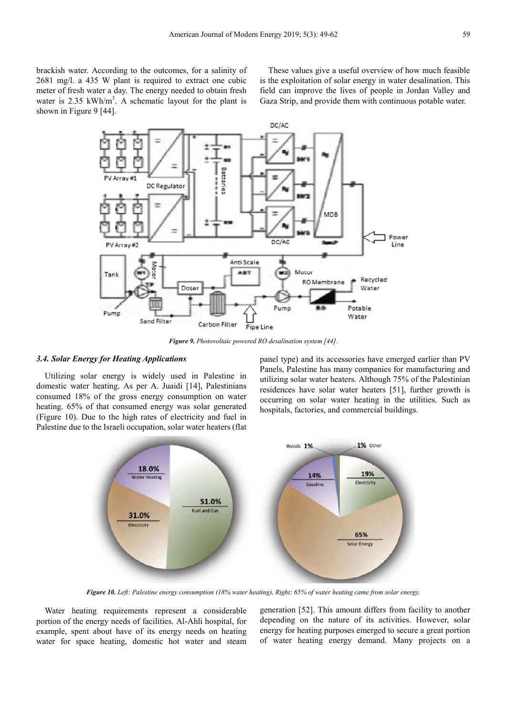brackish water. According to the outcomes, for a salinity of 2681 mg/l. a 435 W plant is required to extract one cubic meter of fresh water a day. The energy needed to obtain fresh water is  $2.35 \text{ kWh/m}^3$ . A schematic layout for the plant is shown in Figure 9 [44].

These values give a useful overview of how much feasible is the exploitation of solar energy in water desalination. This field can improve the lives of people in Jordan Valley and Gaza Strip, and provide them with continuous potable water.



*Figure 9. Photovoltaic powered RO desalination system [44].* 

## *3.4. Solar Energy for Heating Applications*

Utilizing solar energy is widely used in Palestine in domestic water heating. As per A. Juaidi [14], Palestinians consumed 18% of the gross energy consumption on water heating. 65% of that consumed energy was solar generated (Figure 10). Due to the high rates of electricity and fuel in Palestine due to the Israeli occupation, solar water heaters (flat panel type) and its accessories have emerged earlier than PV Panels, Palestine has many companies for manufacturing and utilizing solar water heaters. Although 75% of the Palestinian residences have solar water heaters [51], further growth is occurring on solar water heating in the utilities. Such as hospitals, factories, and commercial buildings.



*Figure 10. Left: Palestine energy consumption (18% water heating), Right: 65% of water heating came from solar energy.* 

Water heating requirements represent a considerable portion of the energy needs of facilities. Al-Ahli hospital, for example, spent about have of its energy needs on heating water for space heating, domestic hot water and steam generation [52]. This amount differs from facility to another depending on the nature of its activities. However, solar energy for heating purposes emerged to secure a great portion of water heating energy demand. Many projects on a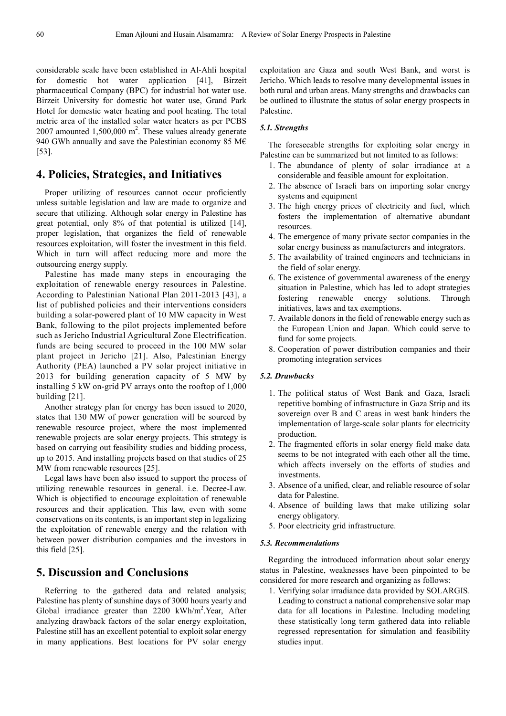considerable scale have been established in Al-Ahli hospital for domestic hot water application [41], Birzeit pharmaceutical Company (BPC) for industrial hot water use. Birzeit University for domestic hot water use, Grand Park Hotel for domestic water heating and pool heating. The total metric area of the installed solar water heaters as per PCBS 2007 amounted  $1,500,000 \text{ m}^2$ . These values already generate 940 GWh annually and save the Palestinian economy 85 M $\epsilon$ [53].

## **4. Policies, Strategies, and Initiatives**

Proper utilizing of resources cannot occur proficiently unless suitable legislation and law are made to organize and secure that utilizing. Although solar energy in Palestine has great potential, only 8% of that potential is utilized [14], proper legislation, that organizes the field of renewable resources exploitation, will foster the investment in this field. Which in turn will affect reducing more and more the outsourcing energy supply.

Palestine has made many steps in encouraging the exploitation of renewable energy resources in Palestine. According to Palestinian National Plan 2011-2013 [43], a list of published policies and their interventions considers building a solar-powered plant of 10 MW capacity in West Bank, following to the pilot projects implemented before such as Jericho Industrial Agricultural Zone Electrification. funds are being secured to proceed in the 100 MW solar plant project in Jericho [21]. Also, Palestinian Energy Authority (PEA) launched a PV solar project initiative in 2013 for building generation capacity of 5 MW by installing 5 kW on-grid PV arrays onto the rooftop of 1,000 building [21].

Another strategy plan for energy has been issued to 2020, states that 130 MW of power generation will be sourced by renewable resource project, where the most implemented renewable projects are solar energy projects. This strategy is based on carrying out feasibility studies and bidding process, up to 2015. And installing projects based on that studies of 25 MW from renewable resources [25].

Legal laws have been also issued to support the process of utilizing renewable resources in general. i.e. Decree-Law. Which is objectified to encourage exploitation of renewable resources and their application. This law, even with some conservations on its contents, is an important step in legalizing the exploitation of renewable energy and the relation with between power distribution companies and the investors in this field [25].

## **5. Discussion and Conclusions**

Referring to the gathered data and related analysis; Palestine has plenty of sunshine days of 3000 hours yearly and Global irradiance greater than 2200 kWh/m<sup>2</sup>. Year, After analyzing drawback factors of the solar energy exploitation, Palestine still has an excellent potential to exploit solar energy in many applications. Best locations for PV solar energy

exploitation are Gaza and south West Bank, and worst is Jericho. Which leads to resolve many developmental issues in both rural and urban areas. Many strengths and drawbacks can be outlined to illustrate the status of solar energy prospects in Palestine.

#### *5.1. Strengths*

The foreseeable strengths for exploiting solar energy in Palestine can be summarized but not limited to as follows:

- 1. The abundance of plenty of solar irradiance at a considerable and feasible amount for exploitation.
- 2. The absence of Israeli bars on importing solar energy systems and equipment
- 3. The high energy prices of electricity and fuel, which fosters the implementation of alternative abundant resources.
- 4. The emergence of many private sector companies in the solar energy business as manufacturers and integrators.
- 5. The availability of trained engineers and technicians in the field of solar energy.
- 6. The existence of governmental awareness of the energy situation in Palestine, which has led to adopt strategies fostering renewable energy solutions. Through initiatives, laws and tax exemptions.
- 7. Available donors in the field of renewable energy such as the European Union and Japan. Which could serve to fund for some projects.
- 8. Cooperation of power distribution companies and their promoting integration services

#### *5.2. Drawbacks*

- 1. The political status of West Bank and Gaza, Israeli repetitive bombing of infrastructure in Gaza Strip and its sovereign over B and C areas in west bank hinders the implementation of large-scale solar plants for electricity production.
- 2. The fragmented efforts in solar energy field make data seems to be not integrated with each other all the time, which affects inversely on the efforts of studies and investments.
- 3. Absence of a unified, clear, and reliable resource of solar data for Palestine.
- 4. Absence of building laws that make utilizing solar energy obligatory.
- 5. Poor electricity grid infrastructure.

#### *5.3. Recommendations*

Regarding the introduced information about solar energy status in Palestine, weaknesses have been pinpointed to be considered for more research and organizing as follows:

1. Verifying solar irradiance data provided by SOLARGIS. Leading to construct a national comprehensive solar map data for all locations in Palestine. Including modeling these statistically long term gathered data into reliable regressed representation for simulation and feasibility studies input.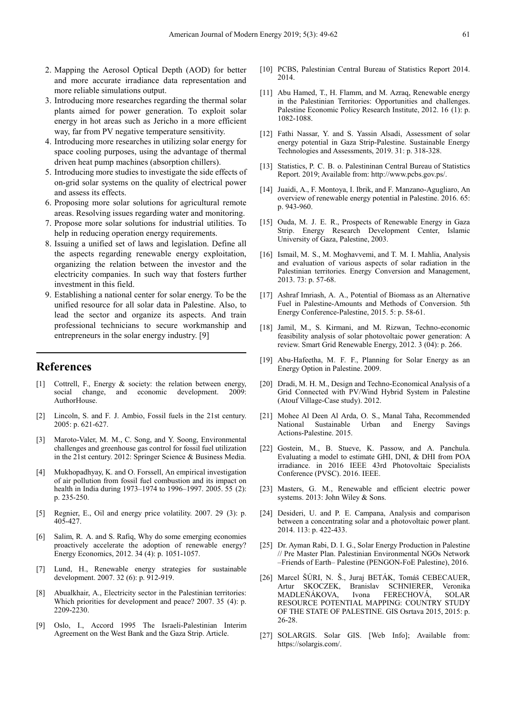- 2. Mapping the Aerosol Optical Depth (AOD) for better and more accurate irradiance data representation and more reliable simulations output.
- 3. Introducing more researches regarding the thermal solar plants aimed for power generation. To exploit solar energy in hot areas such as Jericho in a more efficient way, far from PV negative temperature sensitivity.
- 4. Introducing more researches in utilizing solar energy for space cooling purposes, using the advantage of thermal driven heat pump machines (absorption chillers).
- 5. Introducing more studies to investigate the side effects of on-grid solar systems on the quality of electrical power and assess its effects.
- 6. Proposing more solar solutions for agricultural remote areas. Resolving issues regarding water and monitoring.
- 7. Propose more solar solutions for industrial utilities. To help in reducing operation energy requirements.
- 8. Issuing a unified set of laws and legislation. Define all the aspects regarding renewable energy exploitation, organizing the relation between the investor and the electricity companies. In such way that fosters further investment in this field.
- 9. Establishing a national center for solar energy. To be the unified resource for all solar data in Palestine. Also, to lead the sector and organize its aspects. And train professional technicians to secure workmanship and entrepreneurs in the solar energy industry. [9]

## **References**

- [1] Cottrell, F., Energy & society: the relation between energy, social change, and economic development. 2009: AuthorHouse.
- [2] Lincoln, S. and F. J. Ambio, Fossil fuels in the 21st century. 2005: p. 621-627.
- [3] Maroto-Valer, M. M., C. Song, and Y. Soong, Environmental challenges and greenhouse gas control for fossil fuel utilization in the 21st century. 2012: Springer Science & Business Media.
- [4] Mukhopadhyay, K. and O. Forssell, An empirical investigation of air pollution from fossil fuel combustion and its impact on health in India during 1973–1974 to 1996–1997. 2005. 55 (2): p. 235-250.
- [5] Regnier, E., Oil and energy price volatility. 2007. 29 (3): p. 405-427.
- [6] Salim, R. A. and S. Rafiq, Why do some emerging economies proactively accelerate the adoption of renewable energy? Energy Economics, 2012. 34 (4): p. 1051-1057.
- [7] Lund, H., Renewable energy strategies for sustainable development. 2007. 32 (6): p. 912-919.
- [8] Abualkhair, A., Electricity sector in the Palestinian territories: Which priorities for development and peace? 2007. 35 (4): p. 2209-2230.
- [9] Oslo, I., Accord 1995 The Israeli-Palestinian Interim Agreement on the West Bank and the Gaza Strip. Article.
- [10] PCBS, Palestinian Central Bureau of Statistics Report 2014. 2014.
- [11] Abu Hamed, T., H. Flamm, and M. Azraq, Renewable energy in the Palestinian Territories: Opportunities and challenges. Palestine Economic Policy Research Institute, 2012. 16 (1): p. 1082-1088.
- [12] Fathi Nassar, Y. and S. Yassin Alsadi, Assessment of solar energy potential in Gaza Strip-Palestine. Sustainable Energy Technologies and Assessments, 2019. 31: p. 318-328.
- [13] Statistics, P. C. B. o. Palestininan Central Bureau of Statistics Report. 2019; Available from: http://www.pcbs.gov.ps/.
- [14] Juaidi, A., F. Montoya, I. Ibrik, and F. Manzano-Agugliaro, An overview of renewable energy potential in Palestine. 2016. 65: p. 943-960.
- [15] Ouda, M. J. E. R., Prospects of Renewable Energy in Gaza Strip. Energy Research Development Center, Islamic University of Gaza, Palestine, 2003.
- [16] Ismail, M. S., M. Moghavvemi, and T. M. I. Mahlia, Analysis and evaluation of various aspects of solar radiation in the Palestinian territories. Energy Conversion and Management, 2013. 73: p. 57-68.
- [17] Ashraf Imriash, A. A., Potential of Biomass as an Alternative Fuel in Palestine-Amounts and Methods of Conversion. 5th Energy Conference-Palestine, 2015. 5: p. 58-61.
- [18] Jamil, M., S. Kirmani, and M. Rizwan, Techno-economic feasibility analysis of solar photovoltaic power generation: A review. Smart Grid Renewable Energy, 2012. 3 (04): p. 266.
- [19] Abu-Hafeetha, M. F. F., Planning for Solar Energy as an Energy Option in Palestine. 2009.
- [20] Dradi, M. H. M., Design and Techno-Economical Analysis of a Grid Connected with PV/Wind Hybrid System in Palestine (Atouf Village-Case study). 2012.
- [21] Mohee Al Deen Al Arda, O. S., Manal Taha, Recommended National Sustainable Urban and Energy Savings Actions-Palestine. 2015.
- [22] Gostein, M., B. Stueve, K. Passow, and A. Panchula. Evaluating a model to estimate GHI, DNI, & DHI from POA irradiance. in 2016 IEEE 43rd Photovoltaic Specialists Conference (PVSC). 2016. IEEE.
- [23] Masters, G. M., Renewable and efficient electric power systems. 2013: John Wiley & Sons.
- [24] Desideri, U. and P. E. Campana, Analysis and comparison between a concentrating solar and a photovoltaic power plant. 2014. 113: p. 422-433.
- [25] Dr. Ayman Rabi, D. I. G., Solar Energy Production in Palestine // Pre Master Plan. Palestinian Environmental NGOs Network –Friends of Earth– Palestine (PENGON-FoE Palestine), 2016.
- [26] Marcel ŠÚRI, N. Š., Juraj BETÁK, Tomáš CEBECAUER, Artur SKOCZEK, Branislav SCHNIERER, Veronika MADLEŇÁKOVA, Ivona FERECHOVÁ, SOLAR RESOURCE POTENTIAL MAPPING: COUNTRY STUDY OF THE STATE OF PALESTINE. GIS Osrtava 2015, 2015: p. 26-28.
- [27] SOLARGIS. Solar GIS. [Web Info]; Available from: https://solargis.com/.